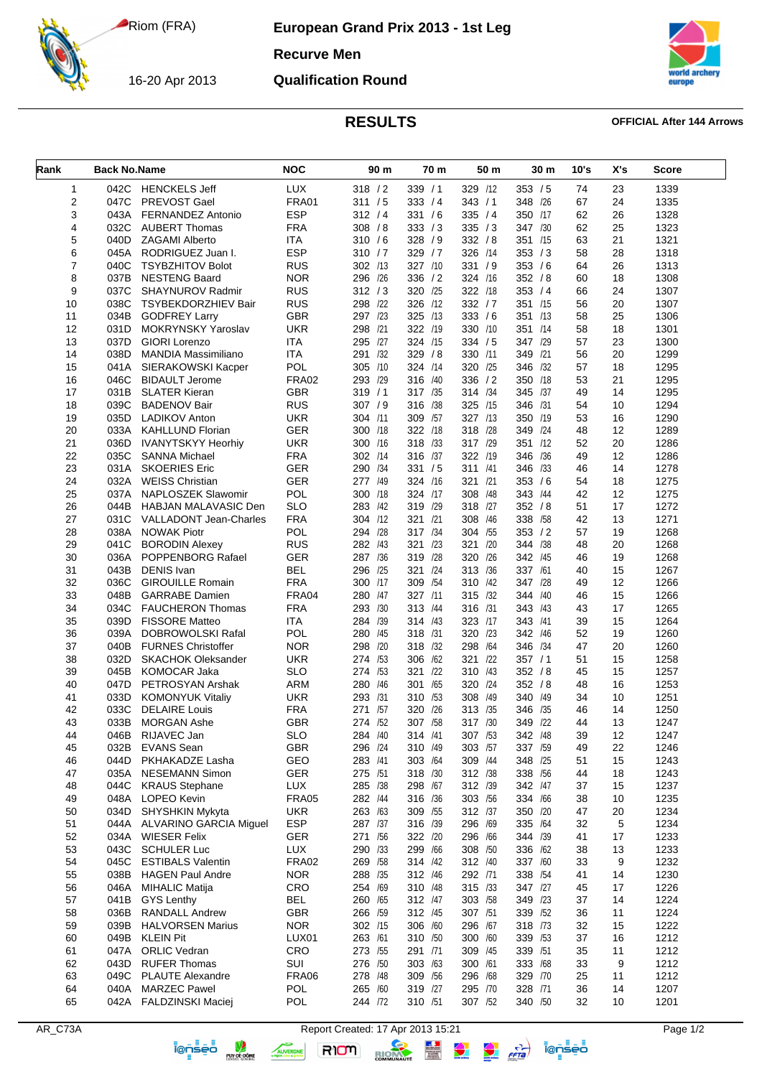Riom (FRA)

## **European Grand Prix 2013 - 1st Leg**

**Recurve Men**



16-20 Apr 2013 **Qualification Round**



## **RESULTS OFFICIAL After 144 Arrows**

| Rank           | <b>Back No.Name</b> |                               | <b>NOC</b>   | 90 m       | 70 m       | 50 m       | 30 m       | 10's | X's | <b>Score</b> |
|----------------|---------------------|-------------------------------|--------------|------------|------------|------------|------------|------|-----|--------------|
| 1              | 042C                | <b>HENCKELS Jeff</b>          | <b>LUX</b>   | 318 / 2    | 339/1      | 329 /12    | 353 / 5    | 74   | 23  | 1339         |
| 2              | 047C                | PREVOST Gael                  | <b>FRA01</b> | 311 / 5    | 333 / 4    | 343 / 1    | 348 /26    | 67   | 24  | 1335         |
| 3              | 043A                | FERNANDEZ Antonio             | <b>ESP</b>   | 312 / 4    | 331 / 6    | 335 / 4    | 350 /17    | 62   | 26  | 1328         |
| 4              | 032C                | <b>AUBERT Thomas</b>          | <b>FRA</b>   | 308 / 8    | 333 / 3    | 335 / 3    | 347 /30    | 62   | 25  | 1323         |
| 5              | 040D                | <b>ZAGAMI Alberto</b>         | <b>ITA</b>   | 310 / 6    | 328 / 9    | 332 / 8    | 351 /15    | 63   | 21  | 1321         |
| 6              | 045A                | RODRIGUEZ Juan I.             | <b>ESP</b>   | 310 / 7    | 329/7      | 326 /14    | 353 / 3    | 58   | 28  | 1318         |
| $\overline{7}$ | 040C                | <b>TSYBZHITOV Bolot</b>       | <b>RUS</b>   | 302 /13    | 327 /10    | 331 / 9    | 353 / 6    | 64   | 26  | 1313         |
| 8              | 037B                | <b>NESTENG Baard</b>          | <b>NOR</b>   | 296 /26    | 336 / 2    | 324 /16    | 352 / 8    | 60   | 18  | 1308         |
| 9              | 037C                | <b>SHAYNUROV Radmir</b>       | <b>RUS</b>   | 312 / 3    | 320 /25    | 322 /18    | 353 / 4    | 66   | 24  | 1307         |
| 10             | 038C                | <b>TSYBEKDORZHIEV Bair</b>    | <b>RUS</b>   | 298 /22    | 326 /12    | 332 / 7    | 351 /15    | 56   | 20  | 1307         |
| 11             | 034B                | <b>GODFREY Larry</b>          | GBR          | 297 /23    | 325 /13    | 333 / 6    | 351 /13    | 58   | 25  | 1306         |
| 12             | 031D                | MOKRYNSKY Yaroslav            | <b>UKR</b>   | 298 /21    | 322 /19    | 330 /10    | 351 /14    | 58   | 18  | 1301         |
| 13             | 037D                | <b>GIORI Lorenzo</b>          | <b>ITA</b>   | 295 /27    | 324 /15    | 334 / 5    | 347 /29    | 57   | 23  | 1300         |
| 14             | 038D                | <b>MANDIA Massimiliano</b>    | ITA          | /32<br>291 | 329 / 8    | 330 /11    | 349 /21    | 56   | 20  | 1299         |
| 15             | 041A                | SIERAKOWSKI Kacper            | POL          | 305 /10    | 324 /14    | 320<br>/25 | 346 /32    | 57   | 18  | 1295         |
| 16             | 046C                | <b>BIDAULT Jerome</b>         | <b>FRA02</b> | 293 /29    | 316 /40    | 336 / 2    | 350 /18    | 53   | 21  | 1295         |
| 17             | 031B                | <b>SLATER Kieran</b>          | <b>GBR</b>   | 319/1      | 317 /35    | 314 /34    | 345 /37    | 49   | 14  | 1295         |
| 18             | 039C                | <b>BADENOV Bair</b>           | <b>RUS</b>   | 307 / 9    | 316 /38    | 325<br>/15 | 346 /31    | 54   | 10  | 1294         |
| 19             | 035D                | <b>LADIKOV Anton</b>          | UKR          | 304 /11    | 309 /57    | 327 /13    | 350 /19    | 53   | 16  | 1290         |
| 20             | 033A                | <b>KAHLLUND Florian</b>       | GER          | 300 /18    | 322 /18    | 318<br>/28 | 349 /24    | 48   | 12  | 1289         |
| 21             | 036D                | <b>IVANYTSKYY Heorhiv</b>     | <b>UKR</b>   | 300 /16    | 318 /33    | 317 /29    | 351<br>/12 | 52   | 20  | 1286         |
| 22             | 035C                | <b>SANNA Michael</b>          | <b>FRA</b>   | 302 /14    | 316 /37    | 322 /19    | 346 /36    | 49   | 12  | 1286         |
| 23             | 031A                | <b>SKOERIES Eric</b>          | GER          | 290 /34    | 331 / 5    | 311<br>/41 | 346 /33    | 46   | 14  | 1278         |
| 24             | 032A                | <b>WEISS Christian</b>        | GER          | 277 /49    | 324 /16    | 321<br>/21 | 353 / 6    | 54   | 18  | 1275         |
| 25             | 037A                | NAPLOSZEK Slawomir            | POL          | 300 /18    | 324 /17    | 308<br>/48 | 343 /44    | 42   | 12  | 1275         |
| 26             | 044B                | HABJAN MALAVASIC Den          | SLO          | 283 /42    | 319 /29    | /27<br>318 | 352 / 8    | 51   | 17  | 1272         |
| 27             | 031C                | <b>VALLADONT Jean-Charles</b> | <b>FRA</b>   | 304 /12    | 321 /21    | 308<br>/46 | 338 /58    | 42   | 13  | 1271         |
| 28             | 038A                | <b>NOWAK Piotr</b>            | POL          | 294 /28    | 317 /34    | 304 /55    | 353 / 2    | 57   | 19  | 1268         |
| 29             | 041C                | <b>BORODIN Alexey</b>         | RUS          | 282 /43    | 321 /23    | 321<br>/20 | 344 /38    | 48   | 20  | 1268         |
| 30             | 036A                | POPPENBORG Rafael             | GER          | 287 /36    | 319 /28    | 320 /26    | 342 /45    | 46   | 19  | 1268         |
| 31             | 043B                | <b>DENIS</b> Ivan             | BEL          | 296 /25    | 321<br>/24 | 313 /36    | 337 /61    | 40   | 15  | 1267         |
| 32             | 036C                | <b>GIROUILLE Romain</b>       | <b>FRA</b>   | 300 /17    | 309 /54    | 310 /42    | 347 /28    | 49   | 12  | 1266         |
| 33             | 048B                | <b>GARRABE</b> Damien         | FRA04        | 280 /47    | 327 /11    | 315 /32    | 344<br>/40 | 46   | 15  | 1266         |
| 34             | 034C                | <b>FAUCHERON Thomas</b>       | <b>FRA</b>   | 293 /30    | 313 /44    | 316 /31    | 343 /43    | 43   | 17  | 1265         |
| 35             | 039D                | <b>FISSORE Matteo</b>         | <b>ITA</b>   | 284 /39    | 314 /43    | 323 /17    | 343 /41    | 39   | 15  | 1264         |
| 36             | 039A                | DOBROWOLSKI Rafal             | POL          | 280 /45    | 318 /31    | 320<br>/23 | 342 /46    | 52   | 19  | 1260         |
| 37             | 040B                | <b>FURNES Christoffer</b>     | <b>NOR</b>   | 298 /20    | 318 /32    | 298<br>/64 | 346 /34    | 47   | 20  | 1260         |
| 38             | 032D                | <b>SKACHOK Oleksander</b>     | <b>UKR</b>   | 274 /53    | 306 /62    | 321<br>/22 | 357/1      | 51   | 15  | 1258         |
| 39             | 045B                | <b>KOMOCAR Jaka</b>           | SLO          | 274 /53    | 321 /22    | 310 /43    | 352 / 8    | 45   | 15  | 1257         |
| 40             | 047D                | PETROSYAN Arshak              | <b>ARM</b>   | 280 /46    | /65<br>301 | 320<br>/24 | 352 / 8    | 48   | 16  | 1253         |
| 41             | 033D                | <b>KOMONYUK Vitaliy</b>       | UKR          | 293 /31    | 310 /53    | 308<br>/49 | 340<br>/49 | 34   | 10  | 1251         |
| 42             | 033C                | <b>DELAIRE Louis</b>          | <b>FRA</b>   | 271 /57    | 320 /26    | /35<br>313 | /35<br>346 | 46   | 14  | 1250         |
| 43             | 033B                | <b>MORGAN Ashe</b>            | GBR          | 274 /52    | 307 / 58   | 317 /30    | 349 /22    | 44   | 13  | 1247         |
| 44             | 046B                | RIJAVEC Jan                   | <b>SLO</b>   | 284 /40    | 314 /41    | 307 /53    | 342<br>/48 | 39   | 12  | 1247         |
| 45             | 032B                | <b>EVANS</b> Sean             | GBR          | 296 /24    | 310 /49    | 303 /57    | 337 /59    | 49   | 22  | 1246         |
| 46             | 044D                | PKHAKADZE Lasha               | GEO          | 283 /41    | 303 /64    | 309 /44    | 348 /25    | 51   | 15  | 1243         |
| 47             | 035A                | <b>NESEMANN Simon</b>         | <b>GER</b>   | 275 /51    | 318 /30    | 312 /38    | 338 /56    | 44   | 18  | 1243         |
| 48             | 044C                | <b>KRAUS Stephane</b>         | <b>LUX</b>   | 285 /38    | 298 /67    | 312 /39    | 342 /47    | 37   | 15  | 1237         |
| 49             | 048A                | LOPEO Kevin                   | <b>FRA05</b> | 282 /44    | 316 /36    | 303 /56    | 334 /66    | 38   | 10  | 1235         |
| 50             | 034D                | <b>SHYSHKIN Mykyta</b>        | <b>UKR</b>   | 263 /63    | 309 /55    | 312 /37    | 350 /20    | 47   | 20  | 1234         |
| 51             | 044A                | <b>ALVARINO GARCIA Miguel</b> | <b>ESP</b>   | 287 /37    | 316 /39    | 296 /69    | 335 /64    | 32   | 5   | 1234         |
| 52             | 034A                | <b>WIESER Felix</b>           | GER          | 271 /56    | 322 /20    | 296 /66    | 344 /39    | 41   | 17  | 1233         |
| 53             | 043C                | <b>SCHULER Luc</b>            | LUX          | 290 /33    | 299 /66    | 308 /50    | 336 /62    | 38   | 13  | 1233         |
| 54             | 045C                | <b>ESTIBALS Valentin</b>      | <b>FRA02</b> | 269 /58    | 314 /42    | 312 /40    | 337 /60    | 33   | 9   | 1232         |
| 55             | 038B                | <b>HAGEN Paul Andre</b>       | <b>NOR</b>   | 288 /35    | 312 /46    | 292 /71    | 338 /54    | 41   | 14  | 1230         |
| 56             | 046A                | <b>MIHALIC Matija</b>         | CRO          | 254 /69    | 310 /48    | 315 /33    | 347 /27    | 45   | 17  | 1226         |
| 57             | 041B                | <b>GYS Lenthy</b>             | <b>BEL</b>   | 260 /65    | 312 /47    | 303 /58    | 349 /23    | 37   | 14  | 1224         |
| 58             | 036B                | <b>RANDALL Andrew</b>         | GBR          | 266 /59    | 312 /45    | 307 /51    | 339 /52    | 36   | 11  | 1224         |
|                |                     |                               |              |            |            |            |            |      |     |              |
| 59             | 039B                | <b>HALVORSEN Marius</b>       | <b>NOR</b>   | 302 /15    | 306 /60    | 296 /67    | 318 /73    | 32   | 15  | 1222         |
| 60             | 049B                | <b>KLEIN Pit</b>              | LUX01        | 263 /61    | 310 /50    | 300 /60    | 339 /53    | 37   | 16  | 1212         |
| 61             | 047A                | <b>ORLIC Vedran</b>           | CRO          | 273 /55    | 291 /71    | 309 /45    | 339 /51    | 35   | 11  | 1212         |
| 62             | 043D                | <b>RUFER Thomas</b>           | SUI          | 276 /50    | 303 /63    | 300 /61    | 333 /68    | 33   | 9   | 1212         |
| 63             | 049C                | <b>PLAUTE Alexandre</b>       | FRA06        | 278 /48    | 309 /56    | 296 /68    | 329 /70    | 25   | 11  | 1212         |
| 64             | 040A                | <b>MARZEC Pawel</b>           | POL          | 265 /60    | 319 /27    | 295 /70    | 328 /71    | 36   | 14  | 1207         |
| 65             | 042A                | <b>FALDZINSKI Maciej</b>      | POL          | 244 /72    | 310 /51    | 307 /52    | 340 /50    | 32   | 10  | 1201         |

RIOM

AUVERGNE



AR\_C73A Report Created: 17 Apr 2013 15:21<br>**Right Right Right Right Right Right Right Right Right Right Right Right Right Right Right Right Right Right Right Right Right Right Right Right Right Right Right Right Right Righ**